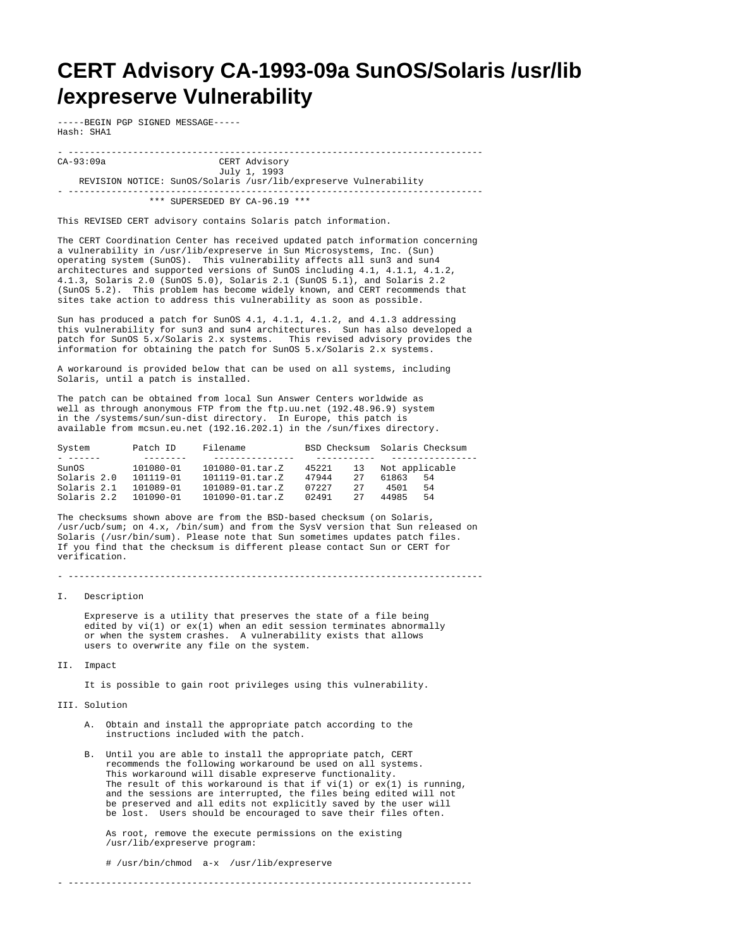## **CERT Advisory CA-1993-09a SunOS/Solaris /usr/lib /expreserve Vulnerability**

-----BEGIN PGP SIGNED MESSAGE----- Hash: SHA1

- ----------------------------------------------------------------------------- CERT Advisory July 1, 1993 REVISION NOTICE: SunOS/Solaris /usr/lib/expreserve Vulnerability - -----------------------------------------------------------------------------

\*\*\* SUPERSEDED BY CA-96.19 \*\*\*

This REVISED CERT advisory contains Solaris patch information.

The CERT Coordination Center has received updated patch information concerning a vulnerability in /usr/lib/expreserve in Sun Microsystems, Inc. (Sun) operating system (SunOS). This vulnerability affects all sun3 and sun4 architectures and supported versions of SunOS including 4.1, 4.1.1, 4.1.2, 4.1.3, Solaris 2.0 (SunOS 5.0), Solaris 2.1 (SunOS 5.1), and Solaris 2.2 (SunOS 5.2). This problem has become widely known, and CERT recommends that sites take action to address this vulnerability as soon as possible.

Sun has produced a patch for SunOS 4.1, 4.1.1, 4.1.2, and 4.1.3 addressing this vulnerability for sun3 and sun4 architectures. Sun has also developed a patch for SunOS 5.x/Solaris 2.x systems. This revised advisory provides the information for obtaining the patch for SunOS 5.x/Solaris 2.x systems.

A workaround is provided below that can be used on all systems, including Solaris, until a patch is installed.

The patch can be obtained from local Sun Answer Centers worldwide as well as through anonymous FTP from the ftp.uu.net (192.48.96.9) system in the /systems/sun/sun-dist directory. In Europe, this patch is available from mcsun.eu.net (192.16.202.1) in the /sun/fixes directory.

| System      | Patch ID  | Filename               |              | BSD Checksum Solaris Checksum |
|-------------|-----------|------------------------|--------------|-------------------------------|
|             |           |                        |              |                               |
| SunOS       | 101080-01 | $101080 - 01$ . tar. Z | 45221<br>13  | Not applicable                |
| Solaris 2.0 | 101119-01 | $101119 - 01$ . tar. Z | 47944<br>27  | 61863<br>54                   |
| Solaris 2.1 | 101089-01 | $101089 - 01$ . tar. Z | 07227<br>27  | 4501<br>54                    |
| Solaris 2.2 | 101090-01 | $101090 - 01$ . tar. Z | 02491<br>2.7 | 44985<br>54                   |

The checksums shown above are from the BSD-based checksum (on Solaris, /usr/ucb/sum; on 4.x, /bin/sum) and from the SysV version that Sun released on Solaris (/usr/bin/sum). Please note that Sun sometimes updates patch files. If you find that the checksum is different please contact Sun or CERT for verification.

- -----------------------------------------------------------------------------

I. Description

 Expreserve is a utility that preserves the state of a file being edited by  $vi(1)$  or  $ex(1)$  when an edit session terminates abnormally or when the system crashes. A vulnerability exists that allows users to overwrite any file on the system.

II. Impact

It is possible to gain root privileges using this vulnerability.

III. Solution

- A. Obtain and install the appropriate patch according to the instructions included with the patch.
- B. Until you are able to install the appropriate patch, CERT recommends the following workaround be used on all systems. This workaround will disable expreserve functionality. The result of this workaround is that if  $vi(1)$  or  $ex(1)$  is running, and the sessions are interrupted, the files being edited will not be preserved and all edits not explicitly saved by the user will be lost. Users should be encouraged to save their files often.

 As root, remove the execute permissions on the existing /usr/lib/expreserve program:

- ---------------------------------------------------------------------------

# /usr/bin/chmod a-x /usr/lib/expreserve